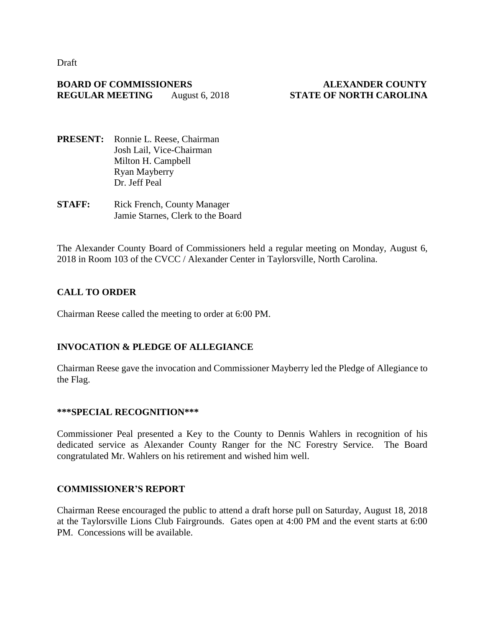Draft

### **BOARD OF COMMISSIONERS ALEXANDER COUNTY REGULAR MEETING** August 6, 2018 **STATE OF NORTH CAROLINA**

- **PRESENT:** Ronnie L. Reese, Chairman Josh Lail, Vice-Chairman Milton H. Campbell Ryan Mayberry Dr. Jeff Peal
- **STAFF:** Rick French, County Manager Jamie Starnes, Clerk to the Board

The Alexander County Board of Commissioners held a regular meeting on Monday, August 6, 2018 in Room 103 of the CVCC / Alexander Center in Taylorsville, North Carolina.

# **CALL TO ORDER**

Chairman Reese called the meeting to order at 6:00 PM.

# **INVOCATION & PLEDGE OF ALLEGIANCE**

Chairman Reese gave the invocation and Commissioner Mayberry led the Pledge of Allegiance to the Flag.

#### **\*\*\*SPECIAL RECOGNITION\*\*\***

Commissioner Peal presented a Key to the County to Dennis Wahlers in recognition of his dedicated service as Alexander County Ranger for the NC Forestry Service. The Board congratulated Mr. Wahlers on his retirement and wished him well.

#### **COMMISSIONER'S REPORT**

Chairman Reese encouraged the public to attend a draft horse pull on Saturday, August 18, 2018 at the Taylorsville Lions Club Fairgrounds. Gates open at 4:00 PM and the event starts at 6:00 PM. Concessions will be available.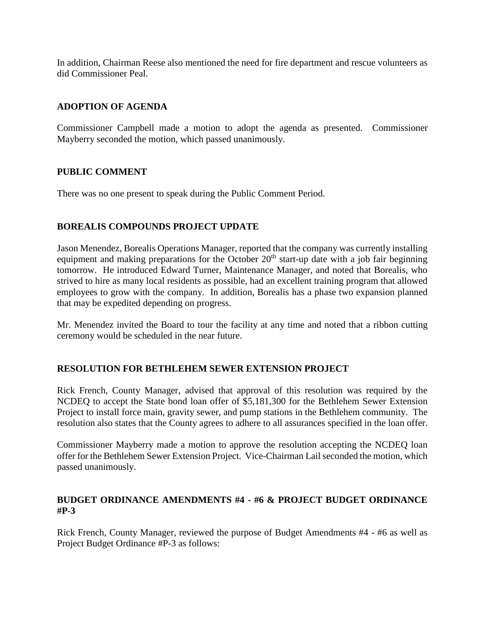In addition, Chairman Reese also mentioned the need for fire department and rescue volunteers as did Commissioner Peal.

# **ADOPTION OF AGENDA**

Commissioner Campbell made a motion to adopt the agenda as presented. Commissioner Mayberry seconded the motion, which passed unanimously.

#### **PUBLIC COMMENT**

There was no one present to speak during the Public Comment Period.

## **BOREALIS COMPOUNDS PROJECT UPDATE**

Jason Menendez, Borealis Operations Manager, reported that the company was currently installing equipment and making preparations for the October  $20<sup>th</sup>$  start-up date with a job fair beginning tomorrow. He introduced Edward Turner, Maintenance Manager, and noted that Borealis, who strived to hire as many local residents as possible, had an excellent training program that allowed employees to grow with the company. In addition, Borealis has a phase two expansion planned that may be expedited depending on progress.

Mr. Menendez invited the Board to tour the facility at any time and noted that a ribbon cutting ceremony would be scheduled in the near future.

#### **RESOLUTION FOR BETHLEHEM SEWER EXTENSION PROJECT**

Rick French, County Manager, advised that approval of this resolution was required by the NCDEQ to accept the State bond loan offer of \$5,181,300 for the Bethlehem Sewer Extension Project to install force main, gravity sewer, and pump stations in the Bethlehem community. The resolution also states that the County agrees to adhere to all assurances specified in the loan offer.

Commissioner Mayberry made a motion to approve the resolution accepting the NCDEQ loan offer for the Bethlehem Sewer Extension Project. Vice-Chairman Lail seconded the motion, which passed unanimously.

#### **BUDGET ORDINANCE AMENDMENTS #4 - #6 & PROJECT BUDGET ORDINANCE #P-3**

Rick French, County Manager, reviewed the purpose of Budget Amendments #4 - #6 as well as Project Budget Ordinance #P-3 as follows: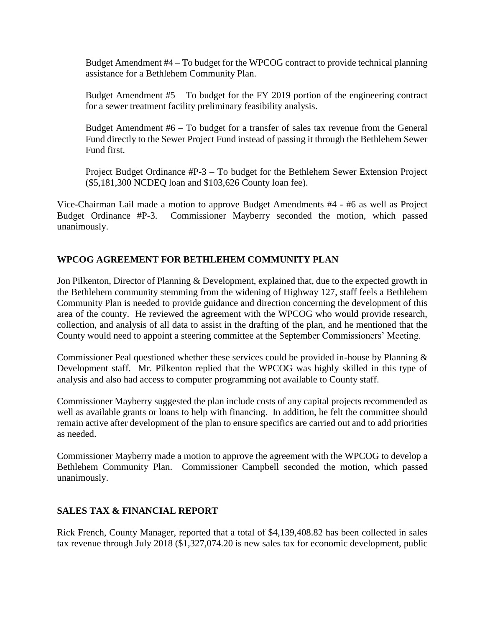Budget Amendment #4 – To budget for the WPCOG contract to provide technical planning assistance for a Bethlehem Community Plan.

Budget Amendment #5 – To budget for the FY 2019 portion of the engineering contract for a sewer treatment facility preliminary feasibility analysis.

Budget Amendment #6 – To budget for a transfer of sales tax revenue from the General Fund directly to the Sewer Project Fund instead of passing it through the Bethlehem Sewer Fund first.

Project Budget Ordinance #P-3 – To budget for the Bethlehem Sewer Extension Project (\$5,181,300 NCDEQ loan and \$103,626 County loan fee).

Vice-Chairman Lail made a motion to approve Budget Amendments #4 - #6 as well as Project Budget Ordinance #P-3. Commissioner Mayberry seconded the motion, which passed unanimously.

# **WPCOG AGREEMENT FOR BETHLEHEM COMMUNITY PLAN**

Jon Pilkenton, Director of Planning & Development, explained that, due to the expected growth in the Bethlehem community stemming from the widening of Highway 127, staff feels a Bethlehem Community Plan is needed to provide guidance and direction concerning the development of this area of the county. He reviewed the agreement with the WPCOG who would provide research, collection, and analysis of all data to assist in the drafting of the plan, and he mentioned that the County would need to appoint a steering committee at the September Commissioners' Meeting.

Commissioner Peal questioned whether these services could be provided in-house by Planning & Development staff. Mr. Pilkenton replied that the WPCOG was highly skilled in this type of analysis and also had access to computer programming not available to County staff.

Commissioner Mayberry suggested the plan include costs of any capital projects recommended as well as available grants or loans to help with financing. In addition, he felt the committee should remain active after development of the plan to ensure specifics are carried out and to add priorities as needed.

Commissioner Mayberry made a motion to approve the agreement with the WPCOG to develop a Bethlehem Community Plan. Commissioner Campbell seconded the motion, which passed unanimously.

# **SALES TAX & FINANCIAL REPORT**

Rick French, County Manager, reported that a total of \$4,139,408.82 has been collected in sales tax revenue through July 2018 (\$1,327,074.20 is new sales tax for economic development, public